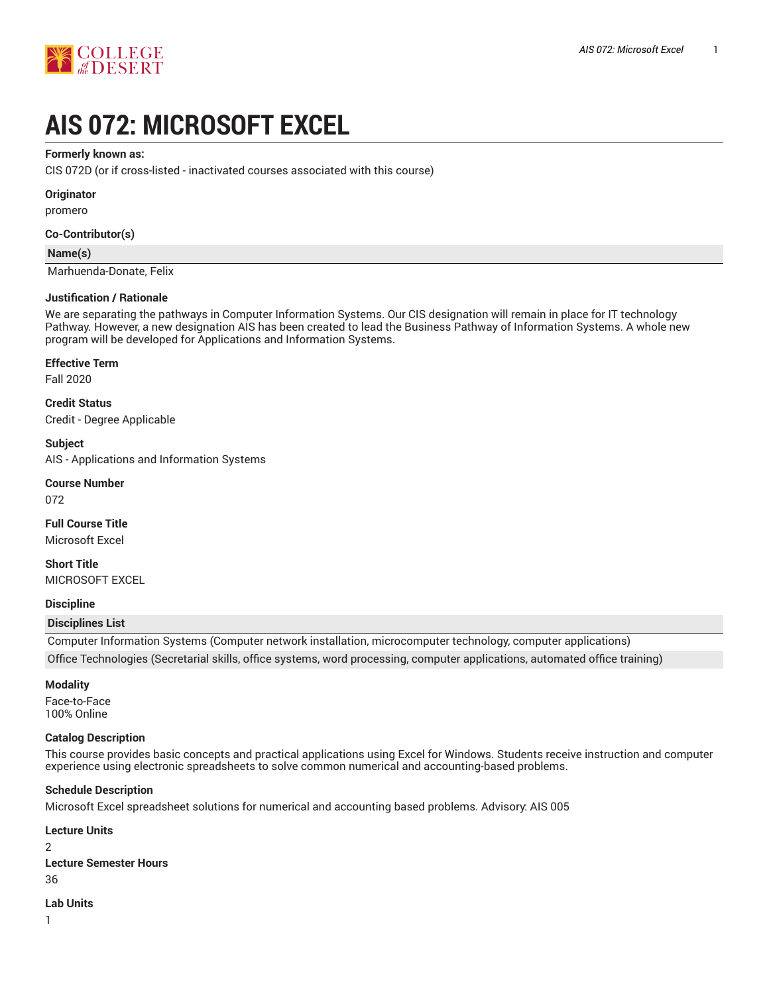

# **AIS 072: MICROSOFT EXCEL**

## **Formerly known as:**

CIS 072D (or if cross-listed - inactivated courses associated with this course)

## **Originator**

promero

## **Co-Contributor(s)**

#### **Name(s)**

Marhuenda-Donate, Felix

## **Justification / Rationale**

We are separating the pathways in Computer Information Systems. Our CIS designation will remain in place for IT technology Pathway. However, a new designation AIS has been created to lead the Business Pathway of Information Systems. A whole new program will be developed for Applications and Information Systems.

## **Effective Term**

Fall 2020

**Credit Status** Credit - Degree Applicable

## **Subject**

AIS - Applications and Information Systems

# **Course Number**

072

**Full Course Title** Microsoft Excel

**Short Title** MICROSOFT EXCEL

## **Discipline**

## **Disciplines List**

Computer Information Systems (Computer network installation, microcomputer technology, computer applications) Office Technologies (Secretarial skills, office systems, word processing, computer applications, automated office training)

## **Modality**

Face-to-Face 100% Online

## **Catalog Description**

This course provides basic concepts and practical applications using Excel for Windows. Students receive instruction and computer experience using electronic spreadsheets to solve common numerical and accounting-based problems.

## **Schedule Description**

Microsoft Excel spreadsheet solutions for numerical and accounting based problems. Advisory: AIS 005

**Lecture Units**  $\mathfrak{p}$ **Lecture Semester Hours** 36

**Lab Units**

1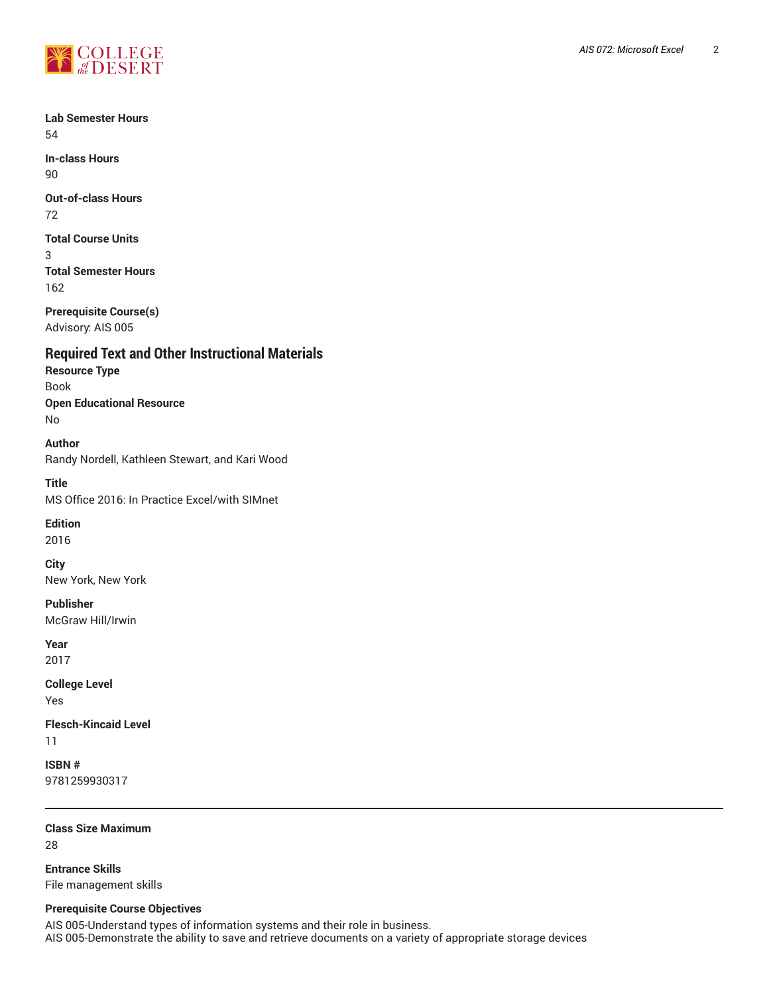

**Lab Semester Hours** 54

**In-class Hours** 90

**Out-of-class Hours** 72

**Total Course Units** 3

**Total Semester Hours** 162

**Prerequisite Course(s)** Advisory: AIS 005

**Required Text and Other Instructional Materials Resource Type** Book

**Open Educational Resource** No

**Author** Randy Nordell, Kathleen Stewart, and Kari Wood

**Title** MS Office 2016: In Practice Excel/with SIMnet

**Edition**

2016

**City** New York, New York

**Publisher** McGraw Hill/Irwin

**Year** 2017

**College Level** Yes

**Flesch-Kincaid Level** 11

**ISBN #** 9781259930317

**Class Size Maximum** 28

**Entrance Skills** File management skills

## **Prerequisite Course Objectives**

AIS 005-Understand types of information systems and their role in business. AIS 005-Demonstrate the ability to save and retrieve documents on a variety of appropriate storage devices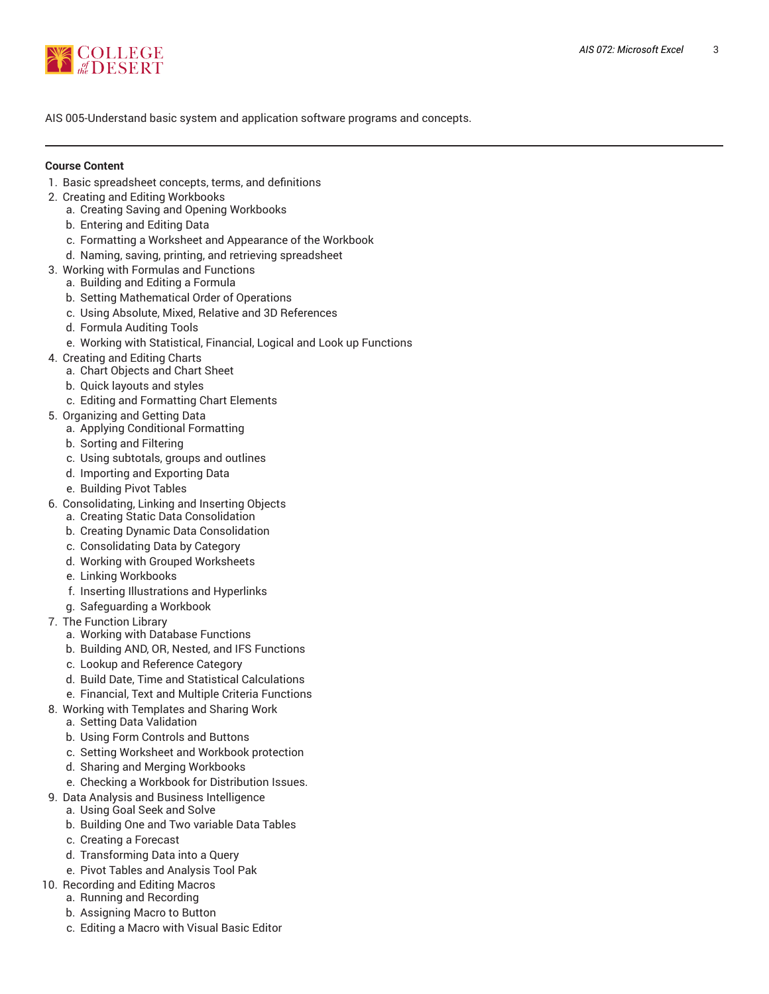

AIS 005-Understand basic system and application software programs and concepts.

## **Course Content**

- 1. Basic spreadsheet concepts, terms, and definitions
- 2. Creating and Editing Workbooks
	- a. Creating Saving and Opening Workbooks
	- b. Entering and Editing Data
	- c. Formatting a Worksheet and Appearance of the Workbook
	- d. Naming, saving, printing, and retrieving spreadsheet
- 3. Working with Formulas and Functions
	- a. Building and Editing a Formula
	- b. Setting Mathematical Order of Operations
	- c. Using Absolute, Mixed, Relative and 3D References
	- d. Formula Auditing Tools
	- e. Working with Statistical, Financial, Logical and Look up Functions
- 4. Creating and Editing Charts
	- a. Chart Objects and Chart Sheet
	- b. Quick layouts and styles
	- c. Editing and Formatting Chart Elements
- 5. Organizing and Getting Data
	- a. Applying Conditional Formatting
	- b. Sorting and Filtering
	- c. Using subtotals, groups and outlines
	- d. Importing and Exporting Data
	- e. Building Pivot Tables
- 6. Consolidating, Linking and Inserting Objects
	- a. Creating Static Data Consolidation
	- b. Creating Dynamic Data Consolidation
	- c. Consolidating Data by Category
	- d. Working with Grouped Worksheets
	- e. Linking Workbooks
	- f. Inserting Illustrations and Hyperlinks
	- g. Safeguarding a Workbook
- 7. The Function Library
	- a. Working with Database Functions
	- b. Building AND, OR, Nested, and IFS Functions
	- c. Lookup and Reference Category
	- d. Build Date, Time and Statistical Calculations
	- e. Financial, Text and Multiple Criteria Functions
- 8. Working with Templates and Sharing Work
	- a. Setting Data Validation
	- b. Using Form Controls and Buttons
	- c. Setting Worksheet and Workbook protection
	- d. Sharing and Merging Workbooks
	- e. Checking a Workbook for Distribution Issues.
- 9. Data Analysis and Business Intelligence
	- a. Using Goal Seek and Solve
	- b. Building One and Two variable Data Tables
	- c. Creating a Forecast
	- d. Transforming Data into a Query
	- e. Pivot Tables and Analysis Tool Pak
- 10. Recording and Editing Macros
	- a. Running and Recording
	- b. Assigning Macro to Button
	- c. Editing a Macro with Visual Basic Editor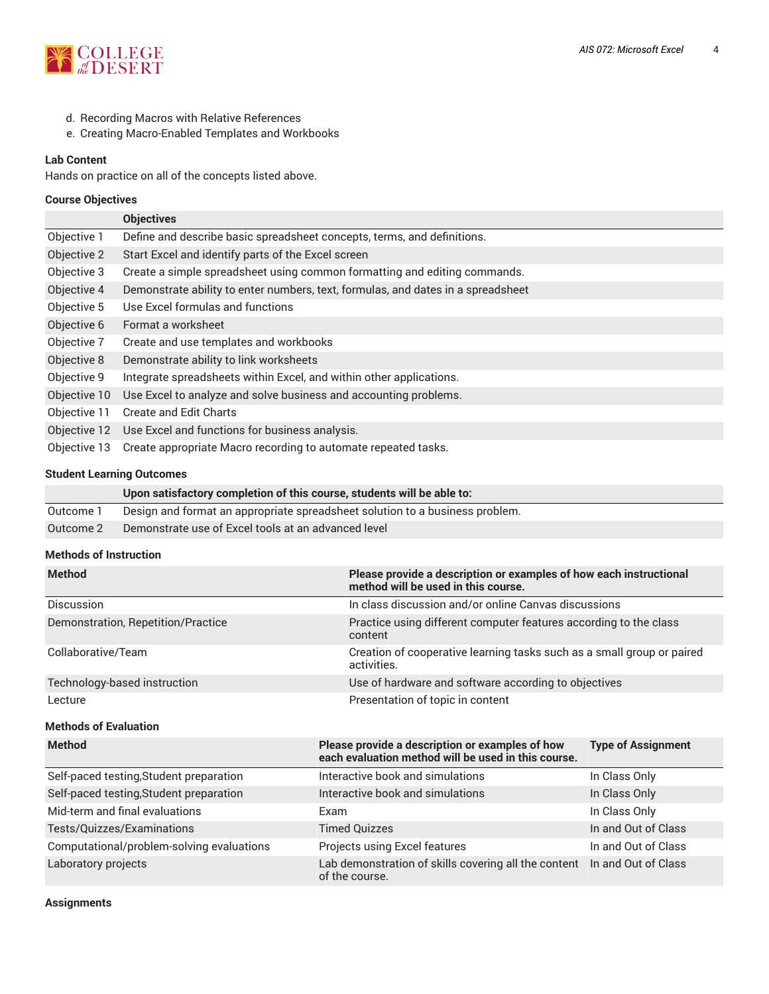

- d. Recording Macros with Relative References
- e. Creating Macro-Enabled Templates and Workbooks

## **Lab Content**

Hands on practice on all of the concepts listed above.

## **Course Objectives**

|              | <b>Objectives</b>                                                                |
|--------------|----------------------------------------------------------------------------------|
| Objective 1  | Define and describe basic spreadsheet concepts, terms, and definitions.          |
| Objective 2  | Start Excel and identify parts of the Excel screen                               |
| Objective 3  | Create a simple spreadsheet using common formatting and editing commands.        |
| Objective 4  | Demonstrate ability to enter numbers, text, formulas, and dates in a spreadsheet |
| Objective 5  | Use Excel formulas and functions                                                 |
| Objective 6  | Format a worksheet                                                               |
| Objective 7  | Create and use templates and workbooks                                           |
| Objective 8  | Demonstrate ability to link worksheets                                           |
| Objective 9  | Integrate spreadsheets within Excel, and within other applications.              |
| Objective 10 | Use Excel to analyze and solve business and accounting problems.                 |
| Objective 11 | <b>Create and Edit Charts</b>                                                    |
| Objective 12 | Use Excel and functions for business analysis.                                   |
| Objective 13 | Create appropriate Macro recording to automate repeated tasks.                   |

## **Student Learning Outcomes**

|           | Upon satisfactory completion of this course, students will be able to:       |
|-----------|------------------------------------------------------------------------------|
| Outcome 1 | Design and format an appropriate spreadsheet solution to a business problem. |
| Outcome 2 | Demonstrate use of Excel tools at an advanced level                          |

## **Methods of Instruction**

| <b>Method</b>                      | Please provide a description or examples of how each instructional<br>method will be used in this course. |
|------------------------------------|-----------------------------------------------------------------------------------------------------------|
| <b>Discussion</b>                  | In class discussion and/or online Canvas discussions                                                      |
| Demonstration, Repetition/Practice | Practice using different computer features according to the class<br>content                              |
| Collaborative/Team                 | Creation of cooperative learning tasks such as a small group or paired<br>activities.                     |
| Technology-based instruction       | Use of hardware and software according to objectives                                                      |
| Lecture                            | Presentation of topic in content                                                                          |
| <b>Methods of Evaluation</b>       |                                                                                                           |
| <b>Mathod</b>                      | <b>Please provide a description or examples of how</b><br>Tyne of Accianment                              |

| <u>ivietijou</u>                          | Prease provide a description or examples of now<br>each evaluation method will be used in this course. | Type of Assignment  |
|-------------------------------------------|--------------------------------------------------------------------------------------------------------|---------------------|
| Self-paced testing, Student preparation   | Interactive book and simulations                                                                       | In Class Only       |
| Self-paced testing, Student preparation   | Interactive book and simulations                                                                       | In Class Only       |
| Mid-term and final evaluations            | Exam                                                                                                   | In Class Only       |
| Tests/Quizzes/Examinations                | <b>Timed Quizzes</b>                                                                                   | In and Out of Class |
| Computational/problem-solving evaluations | Projects using Excel features                                                                          | In and Out of Class |
| Laboratory projects                       | Lab demonstration of skills covering all the content In and Out of Class<br>of the course.             |                     |

**Assignments**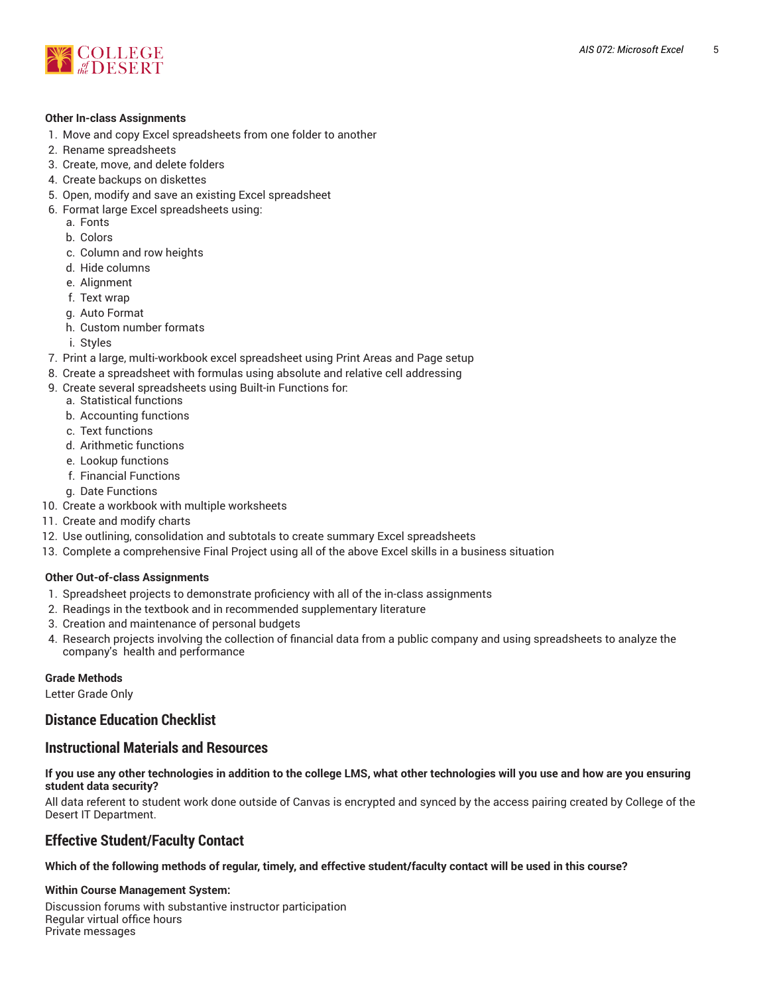

## **Other In-class Assignments**

- 1. Move and copy Excel spreadsheets from one folder to another
- 2. Rename spreadsheets
- 3. Create, move, and delete folders
- 4. Create backups on diskettes
- 5. Open, modify and save an existing Excel spreadsheet
- 6. Format large Excel spreadsheets using:
	- a. Fonts
	- b. Colors
	- c. Column and row heights
	- d. Hide columns
	- e. Alignment
	- f. Text wrap
	- g. Auto Format
	- h. Custom number formats
	- i. Styles
- 7. Print a large, multi-workbook excel spreadsheet using Print Areas and Page setup
- 8. Create a spreadsheet with formulas using absolute and relative cell addressing
- 9. Create several spreadsheets using Built-in Functions for:
	- a. Statistical functions
	- b. Accounting functions
	- c. Text functions
	- d. Arithmetic functions
	- e. Lookup functions
	- f. Financial Functions
	- g. Date Functions
- 10. Create a workbook with multiple worksheets
- 11. Create and modify charts
- 12. Use outlining, consolidation and subtotals to create summary Excel spreadsheets
- 13. Complete a comprehensive Final Project using all of the above Excel skills in a business situation

## **Other Out-of-class Assignments**

- 1. Spreadsheet projects to demonstrate proficiency with all of the in-class assignments
- 2. Readings in the textbook and in recommended supplementary literature
- 3. Creation and maintenance of personal budgets
- 4. Research projects involving the collection of financial data from a public company and using spreadsheets to analyze the company's health and performance

## **Grade Methods**

Letter Grade Only

## **Distance Education Checklist**

## **Instructional Materials and Resources**

If you use any other technologies in addition to the college LMS, what other technologies will you use and how are you ensuring **student data security?**

All data referent to student work done outside of Canvas is encrypted and synced by the access pairing created by College of the Desert IT Department.

## **Effective Student/Faculty Contact**

Which of the following methods of regular, timely, and effective student/faculty contact will be used in this course?

## **Within Course Management System:**

Discussion forums with substantive instructor participation Regular virtual office hours Private messages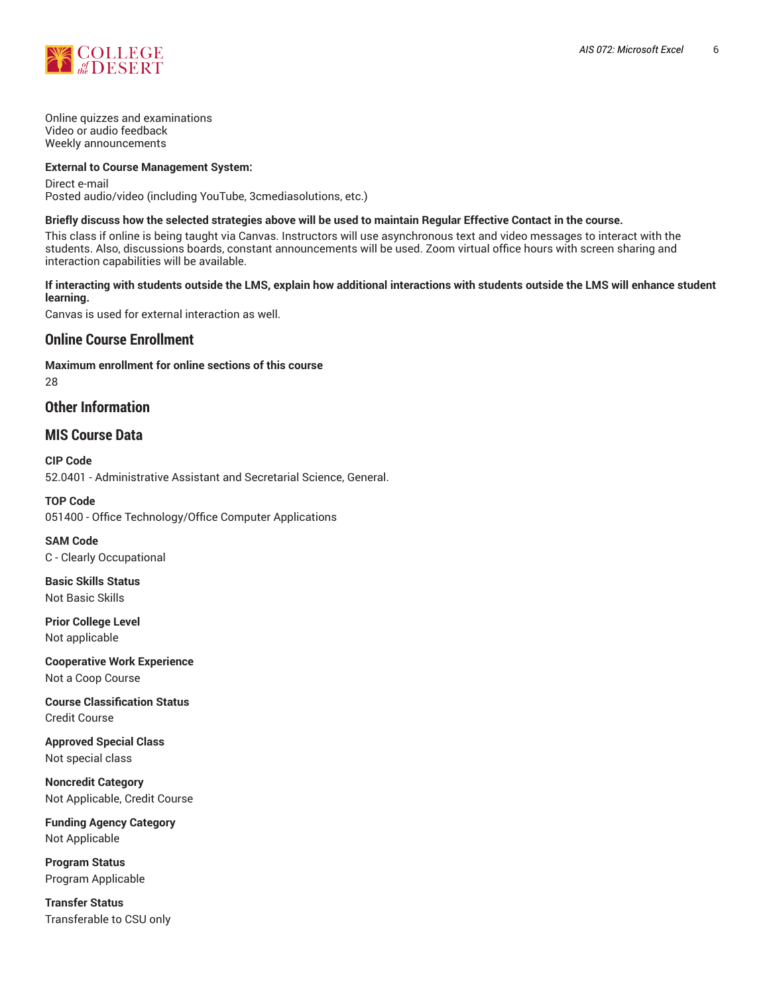

Online quizzes and examinations Video or audio feedback Weekly announcements

## **External to Course Management System:**

Direct e-mail Posted audio/video (including YouTube, 3cmediasolutions, etc.)

## Briefly discuss how the selected strategies above will be used to maintain Regular Effective Contact in the course.

This class if online is being taught via Canvas. Instructors will use asynchronous text and video messages to interact with the students. Also, discussions boards, constant announcements will be used. Zoom virtual office hours with screen sharing and interaction capabilities will be available.

## **If interacting with students outside the LMS, explain how additional interactions with students outside the LMS will enhance student learning.**

Canvas is used for external interaction as well.

## **Online Course Enrollment**

**Maximum enrollment for online sections of this course** 28

## **Other Information**

## **MIS Course Data**

**CIP Code** 52.0401 - Administrative Assistant and Secretarial Science, General.

**TOP Code** 051400 - Office Technology/Office Computer Applications

**SAM Code** C - Clearly Occupational

**Basic Skills Status** Not Basic Skills

**Prior College Level** Not applicable

**Cooperative Work Experience** Not a Coop Course

**Course Classification Status** Credit Course

**Approved Special Class** Not special class

**Noncredit Category** Not Applicable, Credit Course

**Funding Agency Category** Not Applicable

**Program Status** Program Applicable

**Transfer Status** Transferable to CSU only